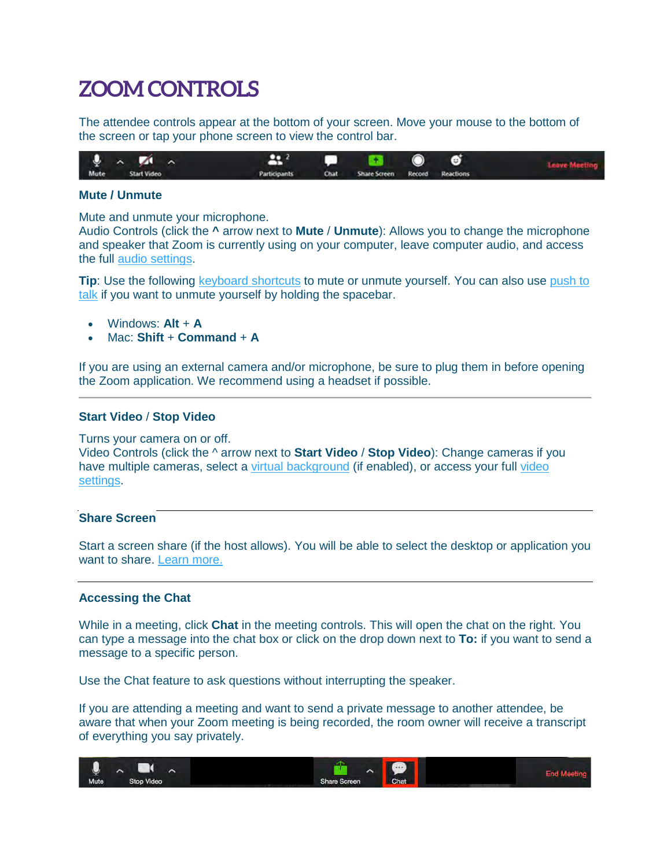# **ZOOM CONTROLS**

The attendee controls appear at the bottom of your screen. Move your mouse to the bottom of the screen or tap your phone screen to view the control bar.



## **Mute / Unmute**

Mute and unmute your microphone.

Audio Controls (click the **^** arrow next to **Mute** / **Unmute**): Allows you to change the microphone and speaker that Zoom is currently using on your computer, leave computer audio, and access the full [audio settings.](https://support.zoom.us/hc/en-us/articles/201362623-About-Settings)

**Tip**: Use the following [keyboard shortcuts](https://support.zoom.us/hc/en-us/articles/205683899) to mute or unmute yourself. You can also use push to [talk](https://support.zoom.us/hc/en-us/articles/360000510003) if you want to unmute yourself by holding the spacebar.

- Windows: **Alt** + **A**
- Mac: **Shift** + **Command** + **A**

If you are using an external camera and/or microphone, be sure to plug them in before opening the Zoom application. We recommend using a headset if possible.

## **Start Video** / **Stop Video**

#### Turns your camera on or off.

Video Controls (click the ^ arrow next to **Start Video** / **Stop Video**): Change cameras if you have multiple cameras, select a [virtual background](https://support.zoom.us/hc/en-us/articles/210707503-Virtual-Background) (if enabled), or access your full video [settings.](https://support.zoom.us/hc/en-us/articles/201362623-About-Settings)

## **Share Screen**

Start a screen share (if the host allows). You will be able to select the desktop or application you want to share. [Learn more.](https://support.zoom.us/hc/en-us/articles/201362153-How-Do-I-Share-My-Screen-)

## **Accessing the Chat**

While in a meeting, click **Chat** in the meeting controls. This will open the chat on the right. You can type a message into the chat box or click on the drop down next to **To:** if you want to send a message to a specific person.

Use the Chat feature to ask questions without interrupting the speaker.

If you are attending a meeting and want to send a private message to another attendee, be aware that when your Zoom meeting is being recorded, the room owner will receive a transcript of everything you say privately.